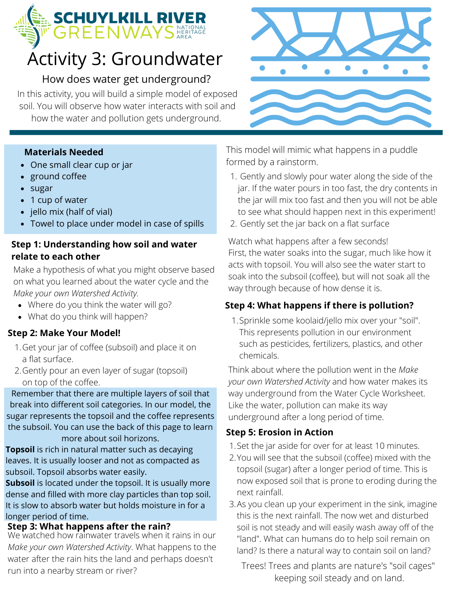## **SCHUYLKILL RIVER**<br>GREENWAYS

## Activity 3: Groundwater

#### How does water get underground?

In this activity, you will build a simple model of exposed soil. You will observe how water interacts with soil and how the water and pollution gets underground.

#### **Materials Needed**

- One small clear cup or jar
- ground coffee
- sugar
- 1 cup of water
- jello mix (half of vial)
- Towel to place under model in case of spills

#### **Step 1: Understanding how soil and water relate to each other**

Make a hypothesis of what you might observe based on what you learned about the water cycle and the *Make your own Watershed Activity.*

- Where do you think the water will go?
- What do you think will happen?

#### **Step 2: Make Your Model!**

- 1. Get your jar of coffee (subsoil) and place it on a flat surface.
- 2. Gently pour an even layer of sugar (topsoil) on top of the coffee.

Remember that there are multiple layers of soil that break into different soil categories. In our model, the sugar represents the topsoil and the coffee represents the subsoil. You can use the back of this page to learn more about soil horizons.

**Topsoil** is rich in natural matter such as decaying leaves. It is usually looser and not as compacted as subsoil. Topsoil absorbs water easily.

**Subsoil** is located under the topsoil. It is usually more dense and filled with more clay particles than top soil. It is slow to absorb water but holds moisture in for a longer period of time.

#### **Step 3: What happens after the rain?**

We watched how rainwater travels when it rains in our *Make your own Watershed Activity*. What happens to the water after the rain hits the land and perhaps doesn't run into a nearby stream or river?



This model will mimic what happens in a puddle formed by a rainstorm.

- Gently and slowly pour water along the side of the 1. jar. If the water pours in too fast, the dry contents in the jar will mix too fast and then you will not be able to see what should happen next in this experiment!
- 2. Gently set the jar back on a flat surface

Watch what happens after a few seconds! First, the water soaks into the sugar, much like how it acts with topsoil. You will also see the water start to soak into the subsoil (coffee), but will not soak all the way through because of how dense it is.

#### **Step 4: What happens if there is pollution?**

1. Sprinkle some koolaid/jello mix over your "soil". This represents pollution in our environment such as pesticides, fertilizers, plastics, and other chemicals.

Think about where the pollution went in the *Make your own Watershed Activity* and how water makes its way underground from the Water Cycle Worksheet. Like the water, pollution can make its way underground after a long period of time.

#### **Step 5: Erosion in Action**

- 1. Set the jar aside for over for at least 10 minutes.
- You will see that the subsoil (coffee) mixed with the 2. topsoil (sugar) after a longer period of time. This is now exposed soil that is prone to eroding during the next rainfall.
- As you clean up your experiment in the sink, imagine 3. this is the next rainfall. The now wet and disturbed soil is not steady and will easily wash away off of the "land". What can humans do to help soil remain on land? Is there a natural way to contain soil on land?

Trees! Trees and plants are nature's "soil cages" keeping soil steady and on land.